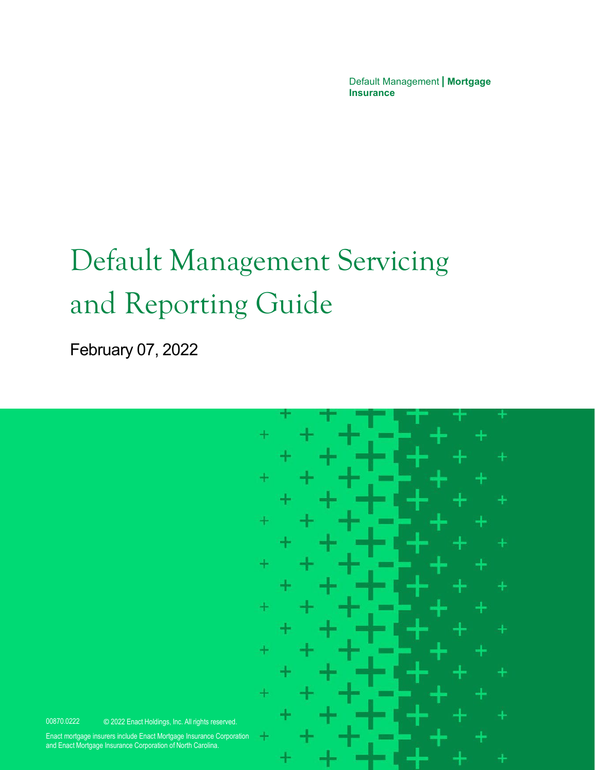Default Management **| Mortgage Insurance**

# Default Management Servicing and Reporting Guide

February 07, 2022



00870.0222 © 2022 Enact Holdings, Inc. All rights reserved.

Enact mortgage insurers include Enact Mortgage Insurance Corporation and Enact Mortgage Insurance Corporation of North Carolina.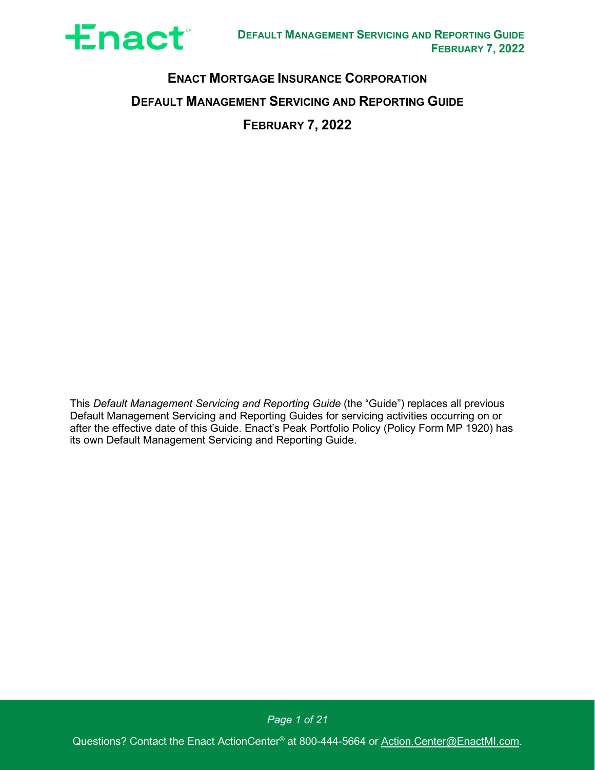

# **ENACT MORTGAGE INSURANCE CORPORATION DEFAULT MANAGEMENT SERVICING AND REPORTING GUIDE FEBRUARY 7, 2022**

This *Default Management Servicing and Reporting Guide* (the "Guide") replaces all previous Default Management Servicing and Reporting Guides for servicing activities occurring on or after the effective date of this Guide. Enact's Peak Portfolio Policy (Policy Form MP 1920) has its own Default Management Servicing and Reporting Guide.

*Page 1 of 21*

Questions? Contact the Enact ActionCenter® at 800-444-5664 or [Action.Center@EnactMI.com.](mailto:Action.Center@EnactMI.com)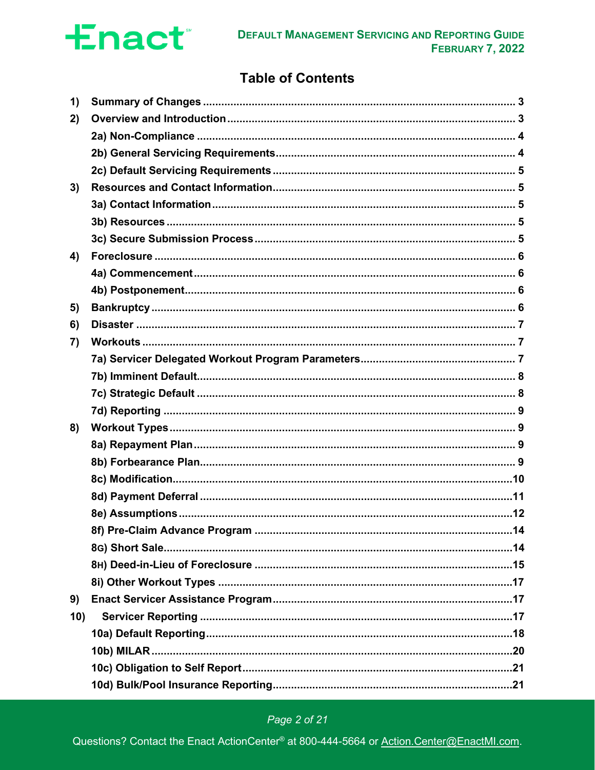

# **Table of Contents**

| 1)  |  |
|-----|--|
| 2)  |  |
|     |  |
|     |  |
|     |  |
| 3)  |  |
|     |  |
|     |  |
|     |  |
| 4)  |  |
|     |  |
|     |  |
| 5)  |  |
| 6)  |  |
| 7)  |  |
|     |  |
|     |  |
|     |  |
|     |  |
| 8)  |  |
|     |  |
|     |  |
|     |  |
|     |  |
|     |  |
|     |  |
|     |  |
|     |  |
|     |  |
| 9)  |  |
| 10) |  |
|     |  |
|     |  |
|     |  |
|     |  |

# Page 2 of 21

Questions? Contact the Enact ActionCenter® at 800-444-5664 or Action.Center@EnactMI.com.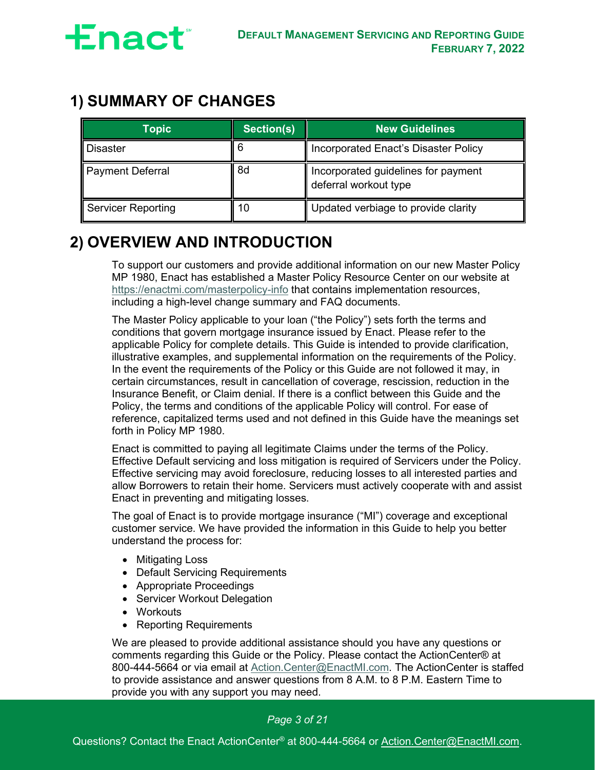

# <span id="page-3-0"></span>**1) SUMMARY OF CHANGES**

| <b>Topic</b>              | Section(s) | <b>New Guidelines</b>                                        |
|---------------------------|------------|--------------------------------------------------------------|
| <b>Disaster</b>           |            | Incorporated Enact's Disaster Policy                         |
| <b>Payment Deferral</b>   | 8d         | Incorporated guidelines for payment<br>deferral workout type |
| <b>Servicer Reporting</b> | 10         | Updated verbiage to provide clarity                          |

# <span id="page-3-1"></span>**2) OVERVIEW AND INTRODUCTION**

To support our customers and provide additional information on our new Master Policy MP 1980, Enact has established a Master Policy Resource Center on our website at <https://enactmi.com/masterpolicy-info> that contains implementation resources, including a high-level change summary and FAQ documents.

The Master Policy applicable to your loan ("the Policy") sets forth the terms and conditions that govern mortgage insurance issued by Enact. Please refer to the applicable Policy for complete details. This Guide is intended to provide clarification, illustrative examples, and supplemental information on the requirements of the Policy. In the event the requirements of the Policy or this Guide are not followed it may, in certain circumstances, result in cancellation of coverage, rescission, reduction in the Insurance Benefit, or Claim denial. If there is a conflict between this Guide and the Policy, the terms and conditions of the applicable Policy will control. For ease of reference, capitalized terms used and not defined in this Guide have the meanings set forth in Policy MP 1980.

Enact is committed to paying all legitimate Claims under the terms of the Policy. Effective Default servicing and loss mitigation is required of Servicers under the Policy. Effective servicing may avoid foreclosure, reducing losses to all interested parties and allow Borrowers to retain their home. Servicers must actively cooperate with and assist Enact in preventing and mitigating losses.

The goal of Enact is to provide mortgage insurance ("MI") coverage and exceptional customer service. We have provided the information in this Guide to help you better understand the process for:

- Mitigating Loss
- Default Servicing Requirements
- Appropriate Proceedings
- Servicer Workout Delegation
- Workouts
- Reporting Requirements

We are pleased to provide additional assistance should you have any questions or comments regarding this Guide or the Policy. Please contact the ActionCenter® at 800-444-5664 or via email at [Action.Center@EnactMI.com.](mailto:Action.Center@EnactMI.com) The ActionCenter is staffed to provide assistance and answer questions from 8 A.M. to 8 P.M. Eastern Time to provide you with any support you may need.

#### *Page 3 of 21*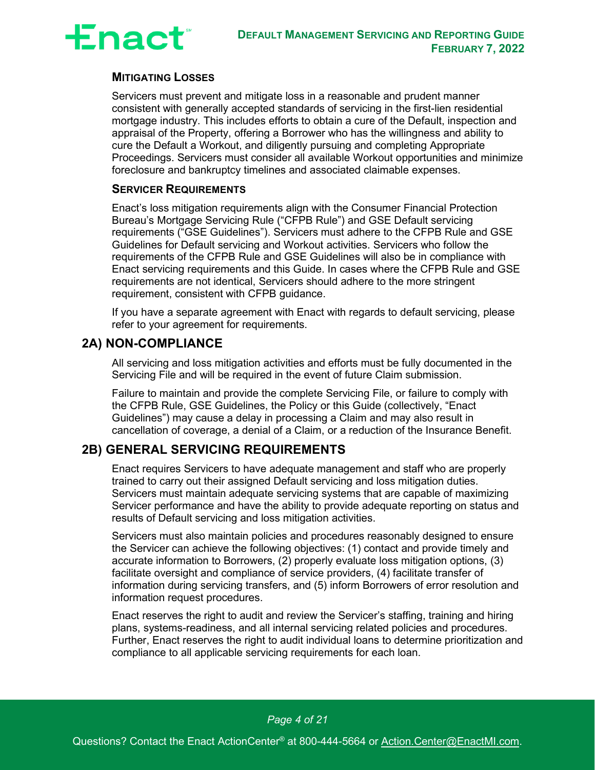

#### **MITIGATING LOSSES**

Servicers must prevent and mitigate loss in a reasonable and prudent manner consistent with generally accepted standards of servicing in the first-lien residential mortgage industry. This includes efforts to obtain a cure of the Default, inspection and appraisal of the Property, offering a Borrower who has the willingness and ability to cure the Default a Workout, and diligently pursuing and completing Appropriate Proceedings. Servicers must consider all available Workout opportunities and minimize foreclosure and bankruptcy timelines and associated claimable expenses.

#### **SERVICER REQUIREMENTS**

Enact's loss mitigation requirements align with the Consumer Financial Protection Bureau's Mortgage Servicing Rule ("CFPB Rule") and GSE Default servicing requirements ("GSE Guidelines"). Servicers must adhere to the CFPB Rule and GSE Guidelines for Default servicing and Workout activities. Servicers who follow the requirements of the CFPB Rule and GSE Guidelines will also be in compliance with Enact servicing requirements and this Guide. In cases where the CFPB Rule and GSE requirements are not identical, Servicers should adhere to the more stringent requirement, consistent with CFPB guidance.

If you have a separate agreement with Enact with regards to default servicing, please refer to your agreement for requirements.

### <span id="page-4-0"></span>**2A) NON-COMPLIANCE**

All servicing and loss mitigation activities and efforts must be fully documented in the Servicing File and will be required in the event of future Claim submission.

Failure to maintain and provide the complete Servicing File, or failure to comply with the CFPB Rule, GSE Guidelines, the Policy or this Guide (collectively, "Enact Guidelines") may cause a delay in processing a Claim and may also result in cancellation of coverage, a denial of a Claim, or a reduction of the Insurance Benefit.

### <span id="page-4-1"></span>**2B) GENERAL SERVICING REQUIREMENTS**

Enact requires Servicers to have adequate management and staff who are properly trained to carry out their assigned Default servicing and loss mitigation duties. Servicers must maintain adequate servicing systems that are capable of maximizing Servicer performance and have the ability to provide adequate reporting on status and results of Default servicing and loss mitigation activities.

Servicers must also maintain policies and procedures reasonably designed to ensure the Servicer can achieve the following objectives: (1) contact and provide timely and accurate information to Borrowers, (2) properly evaluate loss mitigation options, (3) facilitate oversight and compliance of service providers, (4) facilitate transfer of information during servicing transfers, and (5) inform Borrowers of error resolution and information request procedures.

Enact reserves the right to audit and review the Servicer's staffing, training and hiring plans, systems-readiness, and all internal servicing related policies and procedures. Further, Enact reserves the right to audit individual loans to determine prioritization and compliance to all applicable servicing requirements for each loan.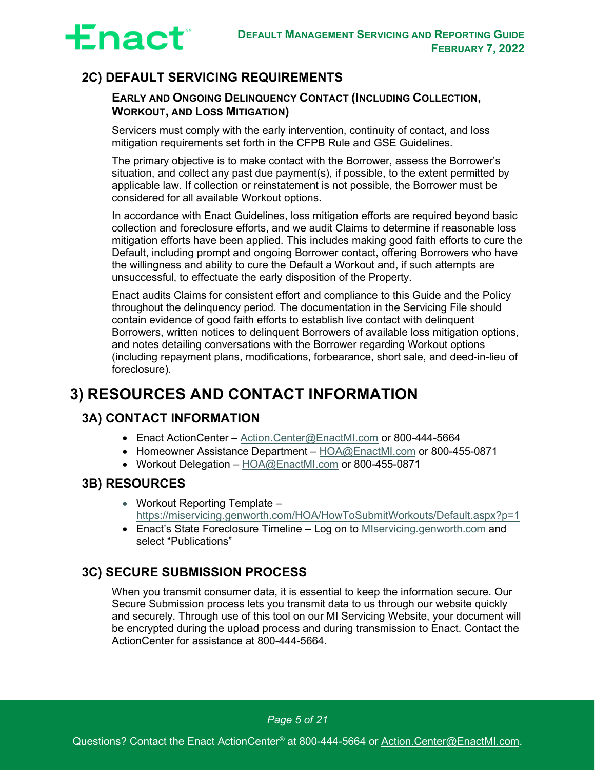

# <span id="page-5-0"></span>**2C) DEFAULT SERVICING REQUIREMENTS**

#### **EARLY AND ONGOING DELINQUENCY CONTACT (INCLUDING COLLECTION, WORKOUT, AND LOSS MITIGATION)**

Servicers must comply with the early intervention, continuity of contact, and loss mitigation requirements set forth in the CFPB Rule and GSE Guidelines.

The primary objective is to make contact with the Borrower, assess the Borrower's situation, and collect any past due payment(s), if possible, to the extent permitted by applicable law. If collection or reinstatement is not possible, the Borrower must be considered for all available Workout options.

In accordance with Enact Guidelines, loss mitigation efforts are required beyond basic collection and foreclosure efforts, and we audit Claims to determine if reasonable loss mitigation efforts have been applied. This includes making good faith efforts to cure the Default, including prompt and ongoing Borrower contact, offering Borrowers who have the willingness and ability to cure the Default a Workout and, if such attempts are unsuccessful, to effectuate the early disposition of the Property.

Enact audits Claims for consistent effort and compliance to this Guide and the Policy throughout the delinquency period. The documentation in the Servicing File should contain evidence of good faith efforts to establish live contact with delinquent Borrowers, written notices to delinquent Borrowers of available loss mitigation options, and notes detailing conversations with the Borrower regarding Workout options (including repayment plans, modifications, forbearance, short sale, and deed-in-lieu of foreclosure).

# <span id="page-5-1"></span>**3) RESOURCES AND CONTACT INFORMATION**

# <span id="page-5-2"></span>**3A) CONTACT INFORMATION**

- Enact ActionCenter [Action.Center@EnactMI.com](mailto:Action.Center@EnactMI.com) or 800-444-5664
- Homeowner Assistance Department [HOA@EnactMI.com](mailto:HOA@EnactMI.com) or 800-455-0871
- Workout Delegation [HOA@EnactMI.com](mailto:HOA@EnactMI.com) or 800-455-0871

### <span id="page-5-3"></span>**3B) RESOURCES**

- Workout Reporting Template <https://miservicing.genworth.com/HOA/HowToSubmitWorkouts/Default.aspx?p=1>
- Enact's State Foreclosure Timeline Log on to [MIservicing.genworth.com](https://miservicing.genworth.com/) and select "Publications"

# <span id="page-5-4"></span>**3C) SECURE SUBMISSION PROCESS**

When you transmit consumer data, it is essential to keep the information secure. Our Secure Submission process lets you transmit data to us through our website quickly and securely. Through use of this tool on our MI Servicing Website, your document will be encrypted during the upload process and during transmission to Enact. Contact the ActionCenter for assistance at 800-444-5664.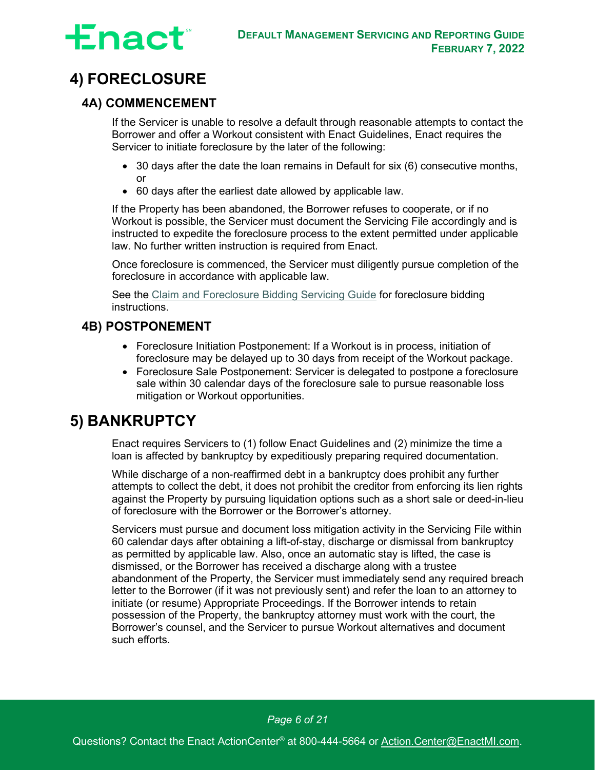

# <span id="page-6-0"></span>**4) FORECLOSURE**

# <span id="page-6-1"></span>**4A) COMMENCEMENT**

If the Servicer is unable to resolve a default through reasonable attempts to contact the Borrower and offer a Workout consistent with Enact Guidelines, Enact requires the Servicer to initiate foreclosure by the later of the following:

- 30 days after the date the loan remains in Default for six (6) consecutive months, or
- 60 days after the earliest date allowed by applicable law.

If the Property has been abandoned, the Borrower refuses to cooperate, or if no Workout is possible, the Servicer must document the Servicing File accordingly and is instructed to expedite the foreclosure process to the extent permitted under applicable law. No further written instruction is required from Enact.

Once foreclosure is commenced, the Servicer must diligently pursue completion of the foreclosure in accordance with applicable law.

See the [Claim and Foreclosure Bidding Servicing Guide](https://miservicing.genworth.com/pdfu/Claims%20Servicing%20Guide_02.2022.pdf) for foreclosure bidding instructions.

# <span id="page-6-2"></span>**4B) POSTPONEMENT**

- Foreclosure Initiation Postponement: If a Workout is in process, initiation of foreclosure may be delayed up to 30 days from receipt of the Workout package.
- Foreclosure Sale Postponement: Servicer is delegated to postpone a foreclosure sale within 30 calendar days of the foreclosure sale to pursue reasonable loss mitigation or Workout opportunities.

# <span id="page-6-3"></span>**5) BANKRUPTCY**

Enact requires Servicers to (1) follow Enact Guidelines and (2) minimize the time a loan is affected by bankruptcy by expeditiously preparing required documentation.

While discharge of a non-reaffirmed debt in a bankruptcy does prohibit any further attempts to collect the debt, it does not prohibit the creditor from enforcing its lien rights against the Property by pursuing liquidation options such as a short sale or deed-in-lieu of foreclosure with the Borrower or the Borrower's attorney.

Servicers must pursue and document loss mitigation activity in the Servicing File within 60 calendar days after obtaining a lift-of-stay, discharge or dismissal from bankruptcy as permitted by applicable law. Also, once an automatic stay is lifted, the case is dismissed, or the Borrower has received a discharge along with a trustee abandonment of the Property, the Servicer must immediately send any required breach letter to the Borrower (if it was not previously sent) and refer the loan to an attorney to initiate (or resume) Appropriate Proceedings. If the Borrower intends to retain possession of the Property, the bankruptcy attorney must work with the court, the Borrower's counsel, and the Servicer to pursue Workout alternatives and document such efforts.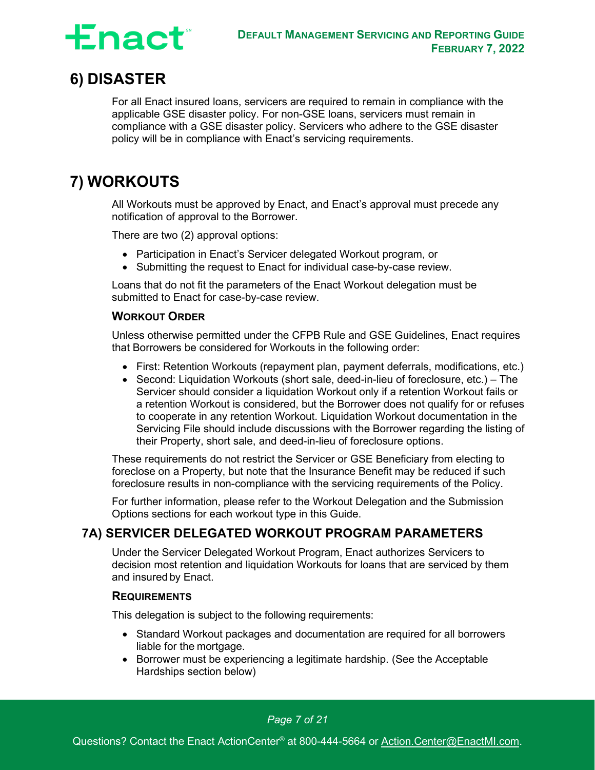

# <span id="page-7-0"></span>**6) DISASTER**

For all Enact insured loans, servicers are required to remain in compliance with the applicable GSE disaster policy. For non-GSE loans, servicers must remain in compliance with a GSE disaster policy. Servicers who adhere to the GSE disaster policy will be in compliance with Enact's servicing requirements.

# <span id="page-7-1"></span>**7) WORKOUTS**

All Workouts must be approved by Enact, and Enact's approval must precede any notification of approval to the Borrower.

There are two (2) approval options:

- Participation in Enact's Servicer delegated Workout program, or
- Submitting the request to Enact for individual case-by-case review.

Loans that do not fit the parameters of the Enact Workout delegation must be submitted to Enact for case-by-case review.

#### **WORKOUT ORDER**

Unless otherwise permitted under the CFPB Rule and GSE Guidelines, Enact requires that Borrowers be considered for Workouts in the following order:

- First: Retention Workouts (repayment plan, payment deferrals, modifications, etc.)
- Second: Liquidation Workouts (short sale, deed-in-lieu of foreclosure, etc.) The Servicer should consider a liquidation Workout only if a retention Workout fails or a retention Workout is considered, but the Borrower does not qualify for or refuses to cooperate in any retention Workout. Liquidation Workout documentation in the Servicing File should include discussions with the Borrower regarding the listing of their Property, short sale, and deed-in-lieu of foreclosure options.

These requirements do not restrict the Servicer or GSE Beneficiary from electing to foreclose on a Property, but note that the Insurance Benefit may be reduced if such foreclosure results in non-compliance with the servicing requirements of the Policy.

For further information, please refer to the Workout Delegation and the Submission Options sections for each workout type in this Guide.

### <span id="page-7-2"></span>**7A) SERVICER DELEGATED WORKOUT PROGRAM PARAMETERS**

Under the Servicer Delegated Workout Program, Enact authorizes Servicers to decision most retention and liquidation Workouts for loans that are serviced by them and insured by Enact.

#### **REQUIREMENTS**

This delegation is subject to the following requirements:

- Standard Workout packages and documentation are required for all borrowers liable for the mortgage.
- Borrower must be experiencing a legitimate hardship. (See the [Acceptable](#page-8-2)  [Hardships](#page-8-2) section below)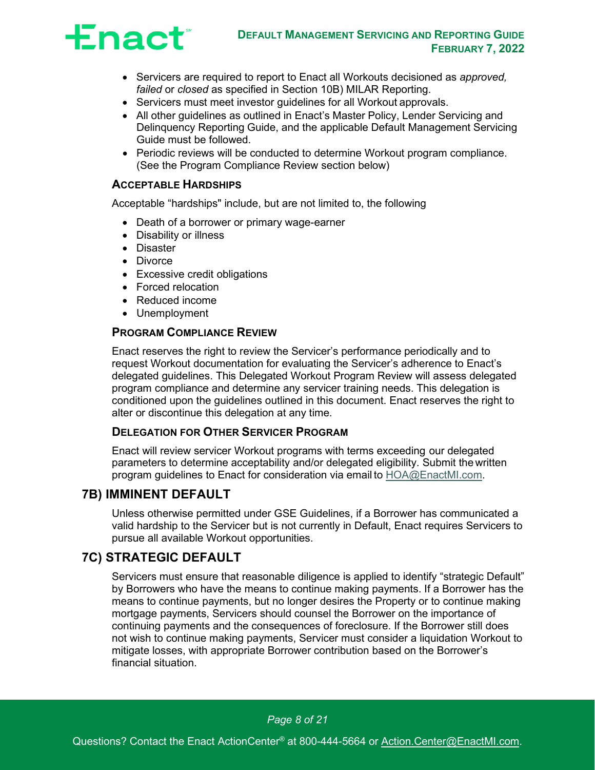

- Servicers are required to report to Enact all Workouts decisioned as *approved, failed* or *closed* as specified in [Section 10B\) MILAR Reporting.](#page-20-0)
- Servicers must meet investor guidelines for all Workout approvals.
- All other quidelines as outlined in Enact's Master Policy, Lender Servicing and Delinquency Reporting Guide, and the applicable Default Management Servicing Guide must be followed.
- Periodic reviews will be conducted to determine Workout program compliance. (See the [Program Compliance Review](#page-8-3) section below)

#### <span id="page-8-2"></span>**ACCEPTABLE HARDSHIPS**

Acceptable "hardships" include, but are not limited to, the following

- Death of a borrower or primary wage-earner
- Disability or illness
- Disaster
- Divorce
- Excessive credit obligations
- Forced relocation
- Reduced income
- Unemployment

#### <span id="page-8-3"></span>**PROGRAM COMPLIANCE REVIEW**

Enact reserves the right to review the Servicer's performance periodically and to request Workout documentation for evaluating the Servicer's adherence to Enact's delegated guidelines. This Delegated Workout Program Review will assess delegated program compliance and determine any servicer training needs. This delegation is conditioned upon the guidelines outlined in this document. Enact reserves the right to alter or discontinue this delegation at any time.

#### **DELEGATION FOR OTHER SERVICER PROGRAM**

Enact will review servicer Workout programs with terms exceeding our delegated parameters to determine acceptability and/or delegated eligibility. Submit the written program guidelines to Enact for consideration via email to [HOA@EnactMI.com.](mailto:HOA@EnactMI.com)

#### <span id="page-8-0"></span>**7B) IMMINENT DEFAULT**

Unless otherwise permitted under GSE Guidelines, if a Borrower has communicated a valid hardship to the Servicer but is not currently in Default, Enact requires Servicers to pursue all available Workout opportunities.

### <span id="page-8-1"></span>**7C) STRATEGIC DEFAULT**

Servicers must ensure that reasonable diligence is applied to identify "strategic Default" by Borrowers who have the means to continue making payments. If a Borrower has the means to continue payments, but no longer desires the Property or to continue making mortgage payments, Servicers should counsel the Borrower on the importance of continuing payments and the consequences of foreclosure. If the Borrower still does not wish to continue making payments, Servicer must consider a liquidation Workout to mitigate losses, with appropriate Borrower contribution based on the Borrower's financial situation.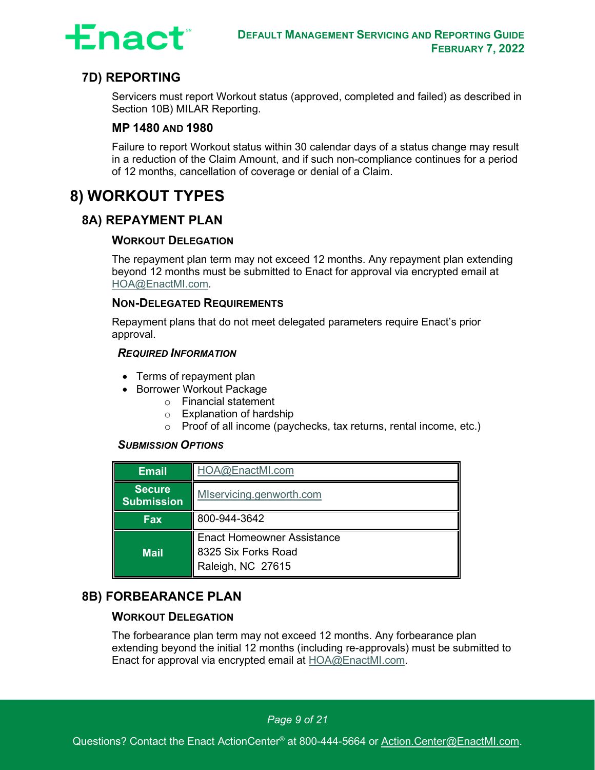

# **7D) REPORTING**

<span id="page-9-0"></span>Servicers must report Workout status (approved, completed and failed) as described in [Section 10B\) MILAR Reporting.](#page-20-0)

#### **MP 1480 AND 1980**

Failure to report Workout status within 30 calendar days of a status change may result in a reduction of the Claim Amount, and if such non-compliance continues for a period of 12 months, cancellation of coverage or denial of a Claim.

# <span id="page-9-1"></span>**8) WORKOUT TYPES**

## <span id="page-9-2"></span>**8A) REPAYMENT PLAN**

#### **WORKOUT DELEGATION**

The repayment plan term may not exceed 12 months. Any repayment plan extending beyond 12 months must be submitted to Enact for approval via encrypted email at [HOA@EnactMI.com.](mailto:HOA@EnactMI.com)

#### **NON-DELEGATED REQUIREMENTS**

Repayment plans that do not meet delegated parameters require Enact's prior approval.

#### *REQUIRED INFORMATION*

- Terms of repayment plan
- Borrower Workout Package
	- o Financial statement
	- o Explanation of hardship
	- o Proof of all income (paychecks, tax returns, rental income, etc.)

#### *SUBMISSION OPTIONS*

| <b>Email</b>                       | HOA@EnactMI.com                                                               |  |
|------------------------------------|-------------------------------------------------------------------------------|--|
| <b>Secure</b><br><b>Submission</b> | MIservicing.genworth.com                                                      |  |
| <b>Fax</b>                         | 800-944-3642                                                                  |  |
| <b>Mail</b>                        | <b>Enact Homeowner Assistance</b><br>8325 Six Forks Road<br>Raleigh, NC 27615 |  |

#### <span id="page-9-3"></span>**8B) FORBEARANCE PLAN**

#### **WORKOUT DELEGATION**

The forbearance plan term may not exceed 12 months. Any forbearance plan extending beyond the initial 12 months (including re-approvals) must be submitted to Enact for approval via encrypted email at [HOA@EnactMI.com.](mailto:HOA@EnactMI.com)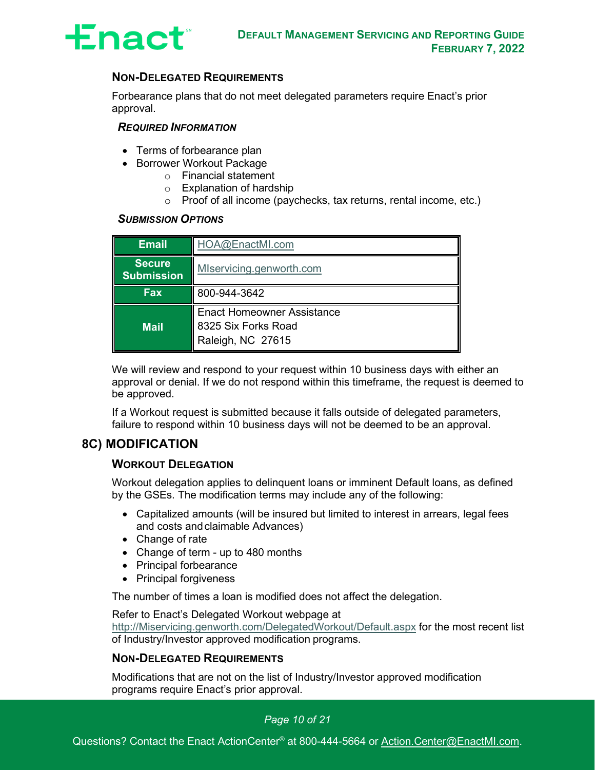

#### **NON-DELEGATED REQUIREMENTS**

Forbearance plans that do not meet delegated parameters require Enact's prior approval.

#### *REQUIRED INFORMATION*

- Terms of forbearance plan
- Borrower Workout Package
	- o Financial statement
	- o Explanation of hardship
	- o Proof of all income (paychecks, tax returns, rental income, etc.)

#### *SUBMISSION OPTIONS*

| <b>Email</b>                                                   | HOA@EnactMI.com                                                               |  |
|----------------------------------------------------------------|-------------------------------------------------------------------------------|--|
| <b>Secure</b><br>MIservicing.genworth.com<br><b>Submission</b> |                                                                               |  |
| <b>Fax</b>                                                     | 800-944-3642                                                                  |  |
| <b>Mail</b>                                                    | <b>Enact Homeowner Assistance</b><br>8325 Six Forks Road<br>Raleigh, NC 27615 |  |

We will review and respond to your request within 10 business days with either an approval or denial. If we do not respond within this timeframe, the request is deemed to be approved.

If a Workout request is submitted because it falls outside of delegated parameters, failure to respond within 10 business days will not be deemed to be an approval.

#### <span id="page-10-0"></span>**8C) MODIFICATION**

#### **WORKOUT DELEGATION**

Workout delegation applies to delinquent loans or imminent Default loans, as defined by the GSEs. The modification terms may include any of the following:

- Capitalized amounts (will be insured but limited to interest in arrears, legal fees and costs andclaimable Advances)
- Change of rate
- Change of term up to 480 months
- Principal forbearance
- Principal forgiveness

The number of times a loan is modified does not affect the delegation.

Refer to Enact's Delegated Workout webpage at

[http://Miservicing.genworth.com/DelegatedWorkout/Default.aspx](http://miservicing.genworth.com/DelegatedWorkout/Default.aspx) for the most recent list of Industry/Investor approved modification programs.

#### **NON-DELEGATED REQUIREMENTS**

Modifications that are not on the list of Industry/Investor approved modification programs require Enact's prior approval.

#### *Page 10 of 21*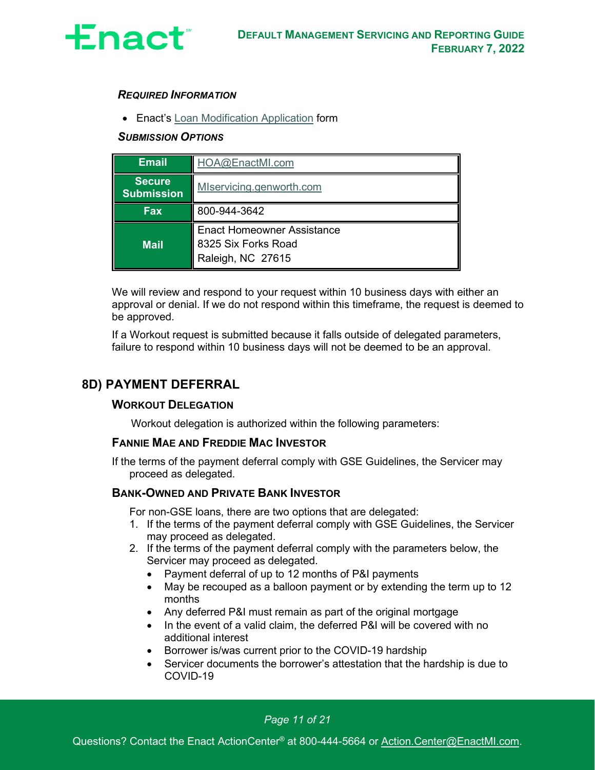

#### *REQUIRED INFORMATION*

• Enact's [Loan Modification](https://miservicing.genworth.com/Publications/Default.aspx) Application form

#### *SUBMISSION OPTIONS*

| <b>Email</b>                       | HOA@EnactMI.com                                                               |  |
|------------------------------------|-------------------------------------------------------------------------------|--|
| <b>Secure</b><br><b>Submission</b> | MIservicing.genworth.com                                                      |  |
| <b>Fax</b>                         | 800-944-3642                                                                  |  |
| <b>Mail</b>                        | <b>Enact Homeowner Assistance</b><br>8325 Six Forks Road<br>Raleigh, NC 27615 |  |

We will review and respond to your request within 10 business days with either an approval or denial. If we do not respond within this timeframe, the request is deemed to be approved.

If a Workout request is submitted because it falls outside of delegated parameters, failure to respond within 10 business days will not be deemed to be an approval.

## <span id="page-11-0"></span>**8D) PAYMENT DEFERRAL**

#### **WORKOUT DELEGATION**

Workout delegation is authorized within the following parameters:

#### **FANNIE MAE AND FREDDIE MAC INVESTOR**

If the terms of the payment deferral comply with GSE Guidelines, the Servicer may proceed as delegated.

#### **BANK-OWNED AND PRIVATE BANK INVESTOR**

For non-GSE loans, there are two options that are delegated:

- 1. If the terms of the payment deferral comply with GSE Guidelines, the Servicer may proceed as delegated.
- 2. If the terms of the payment deferral comply with the parameters below, the Servicer may proceed as delegated.
	- Payment deferral of up to 12 months of P&I payments
	- May be recouped as a balloon payment or by extending the term up to 12 months
	- Any deferred P&I must remain as part of the original mortgage
	- In the event of a valid claim, the deferred P&I will be covered with no additional interest
	- Borrower is/was current prior to the COVID-19 hardship
	- Servicer documents the borrower's attestation that the hardship is due to COVID-19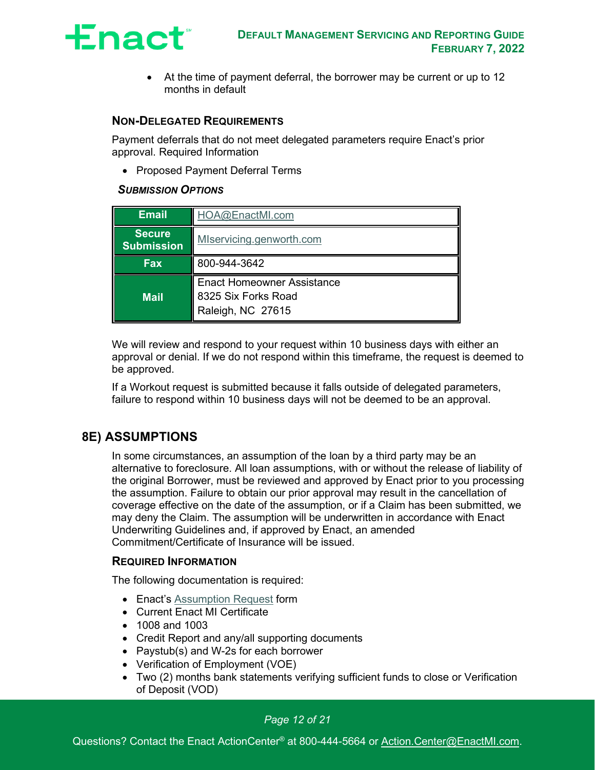

• At the time of payment deferral, the borrower may be current or up to 12 months in default

#### **NON-DELEGATED REQUIREMENTS**

Payment deferrals that do not meet delegated parameters require Enact's prior approval. Required Information

• Proposed Payment Deferral Terms

#### *SUBMISSION OPTIONS*

| <b>Email</b>                                                   | HOA@EnactMI.com                                                               |  |
|----------------------------------------------------------------|-------------------------------------------------------------------------------|--|
| <b>Secure</b><br>MIservicing.genworth.com<br><b>Submission</b> |                                                                               |  |
| <b>Fax</b>                                                     | 800-944-3642                                                                  |  |
| <b>Mail</b>                                                    | <b>Enact Homeowner Assistance</b><br>8325 Six Forks Road<br>Raleigh, NC 27615 |  |

We will review and respond to your request within 10 business days with either an approval or denial. If we do not respond within this timeframe, the request is deemed to be approved.

If a Workout request is submitted because it falls outside of delegated parameters, failure to respond within 10 business days will not be deemed to be an approval.

#### <span id="page-12-0"></span>**8E) ASSUMPTIONS**

In some circumstances, an assumption of the loan by a third party may be an alternative to foreclosure. All loan assumptions, with or without the release of liability of the original Borrower, must be reviewed and approved by Enact prior to you processing the assumption. Failure to obtain our prior approval may result in the cancellation of coverage effective on the date of the assumption, or if a Claim has been submitted, we may deny the Claim. The assumption will be underwritten in accordance with Enact Underwriting Guidelines and, if approved by Enact, an amended Commitment/Certificate of Insurance will be issued.

#### **REQUIRED INFORMATION**

The following documentation is required:

- Enact's [Assumption Request](https://miservicing.genworth.com/Publications/Default.aspx) form
- Current Enact MI Certificate
- 1008 and 1003
- Credit Report and any/all supporting documents
- Paystub(s) and W-2s for each borrower
- Verification of Employment (VOE)
- Two (2) months bank statements verifying sufficient funds to close or Verification of Deposit (VOD)

#### *Page 12 of 21*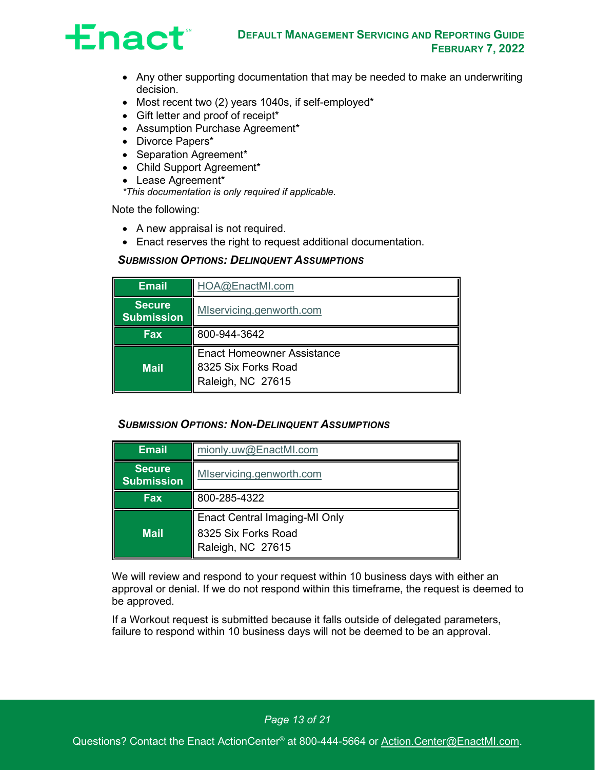

- Any other supporting documentation that may be needed to make an underwriting decision.
- Most recent two (2) years 1040s, if self-employed\*
- Gift letter and proof of receipt\*
- Assumption Purchase Agreement\*
- Divorce Papers\*
- Separation Agreement\*
- Child Support Agreement\*
- Lease Agreement\*

*\*This documentation is only required if applicable.*

Note the following:

- A new appraisal is not required.
- Enact reserves the right to request additional documentation.

#### *SUBMISSION OPTIONS: DELINQUENT ASSUMPTIONS*

| <b>Email</b>                       | HOA@EnactMI.com                                                               |  |
|------------------------------------|-------------------------------------------------------------------------------|--|
| <b>Secure</b><br><b>Submission</b> | MIservicing.genworth.com                                                      |  |
| <b>Fax</b>                         | 800-944-3642                                                                  |  |
| <b>Mail</b>                        | <b>Enact Homeowner Assistance</b><br>8325 Six Forks Road<br>Raleigh, NC 27615 |  |

#### *SUBMISSION OPTIONS: NON-DELINQUENT ASSUMPTIONS*

| mionly.uw@EnactMI.com                    |  |
|------------------------------------------|--|
| MIservicing.genworth.com                 |  |
| 800-285-4322                             |  |
| <b>Enact Central Imaging-MI Only</b>     |  |
| 8325 Six Forks Road<br>Raleigh, NC 27615 |  |
|                                          |  |

We will review and respond to your request within 10 business days with either an approval or denial. If we do not respond within this timeframe, the request is deemed to be approved.

If a Workout request is submitted because it falls outside of delegated parameters, failure to respond within 10 business days will not be deemed to be an approval.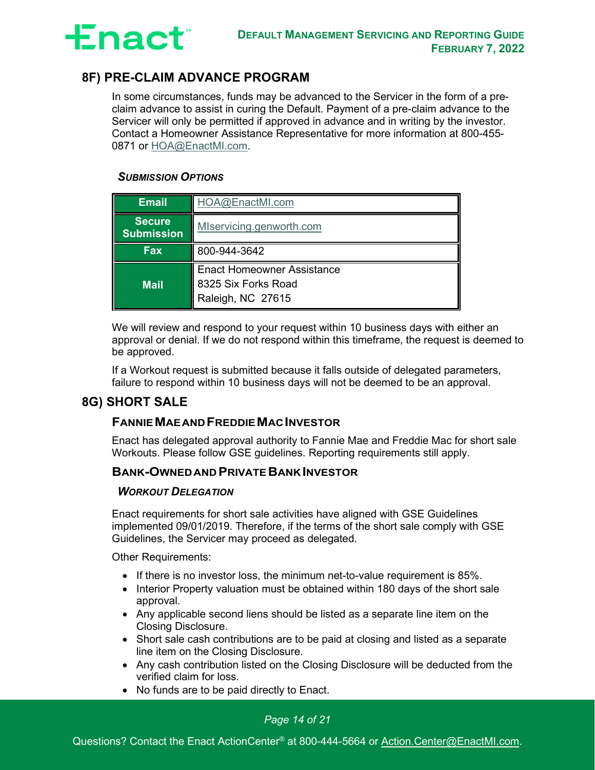

# <span id="page-14-0"></span>**8F) PRE-CLAIM ADVANCE PROGRAM**

In some circumstances, funds may be advanced to the Servicer in the form of a preclaim advance to assist in curing the Default. Payment of a pre-claim advance to the Servicer will only be permitted if approved in advance and in writing by the investor. Contact a Homeowner Assistance Representative for more information at 800-455- 0871 or [HOA@EnactMI.com.](mailto:HOA@EnactMI.com)

#### *SUBMISSION OPTIONS*

| <b>Email</b>                       | HOA@EnactMI.com                                                               |  |
|------------------------------------|-------------------------------------------------------------------------------|--|
| <b>Secure</b><br><b>Submission</b> | MIservicing.genworth.com                                                      |  |
| <b>Fax</b><br>800-944-3642         |                                                                               |  |
| <b>Mail</b>                        | <b>Enact Homeowner Assistance</b><br>8325 Six Forks Road<br>Raleigh, NC 27615 |  |

We will review and respond to your request within 10 business days with either an approval or denial. If we do not respond within this timeframe, the request is deemed to be approved.

If a Workout request is submitted because it falls outside of delegated parameters, failure to respond within 10 business days will not be deemed to be an approval.

### <span id="page-14-1"></span>**8G) SHORT SALE**

#### **FANNIEMAEANDFREDDIEMACINVESTOR**

Enact has delegated approval authority to Fannie Mae and Freddie Mac for short sale Workouts. Please follow GSE guidelines. Reporting requirements still apply.

#### **BANK-OWNEDAND PRIVATEBANKINVESTOR**

#### *WORKOUT DELEGATION*

Enact requirements for short sale activities have aligned with GSE Guidelines implemented 09/01/2019. Therefore, if the terms of the short sale comply with GSE Guidelines, the Servicer may proceed as delegated.

Other Requirements:

- If there is no investor loss, the minimum net-to-value requirement is 85%.
- Interior Property valuation must be obtained within 180 days of the short sale approval.
- Any applicable second liens should be listed as a separate line item on the Closing Disclosure.
- Short sale cash contributions are to be paid at closing and listed as a separate line item on the Closing Disclosure.
- Any cash contribution listed on the Closing Disclosure will be deducted from the verified claim for loss.
- No funds are to be paid directly to Enact.

#### *Page 14 of 21*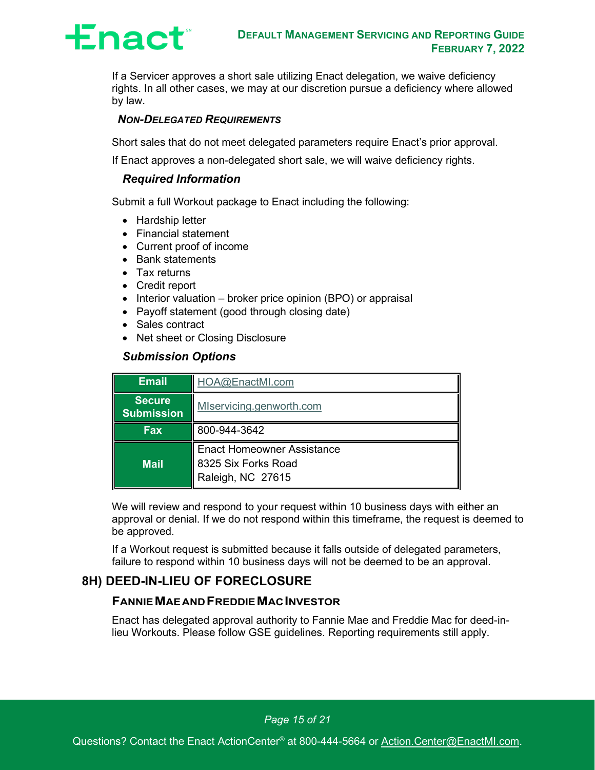

If a Servicer approves a short sale utilizing Enact delegation, we waive deficiency rights. In all other cases, we may at our discretion pursue a deficiency where allowed by law.

#### *NON-DELEGATED REQUIREMENTS*

Short sales that do not meet delegated parameters require Enact's prior approval.

If Enact approves a non-delegated short sale, we will waive deficiency rights.

#### *Required Information*

Submit a full Workout package to Enact including the following:

- Hardship letter
- Financial statement
- Current proof of income
- Bank statements
- Tax returns
- Credit report
- Interior valuation broker price opinion (BPO) or appraisal
- Payoff statement (good through closing date)
- Sales contract
- Net sheet or Closing Disclosure

#### *Submission Options*

| <b>Email</b>                       | HOA@EnactMI.com                                                               |  |
|------------------------------------|-------------------------------------------------------------------------------|--|
| <b>Secure</b><br><b>Submission</b> | MIservicing.genworth.com                                                      |  |
| <b>Fax</b>                         | 800-944-3642                                                                  |  |
| <b>Mail</b>                        | <b>Enact Homeowner Assistance</b><br>8325 Six Forks Road<br>Raleigh, NC 27615 |  |

We will review and respond to your request within 10 business days with either an approval or denial. If we do not respond within this timeframe, the request is deemed to be approved.

If a Workout request is submitted because it falls outside of delegated parameters, failure to respond within 10 business days will not be deemed to be an approval.

# <span id="page-15-0"></span>**8H) DEED-IN-LIEU OF FORECLOSURE**

#### **FANNIEMAEANDFREDDIEMACINVESTOR**

Enact has delegated approval authority to Fannie Mae and Freddie Mac for deed-inlieu Workouts. Please follow GSE guidelines. Reporting requirements still apply.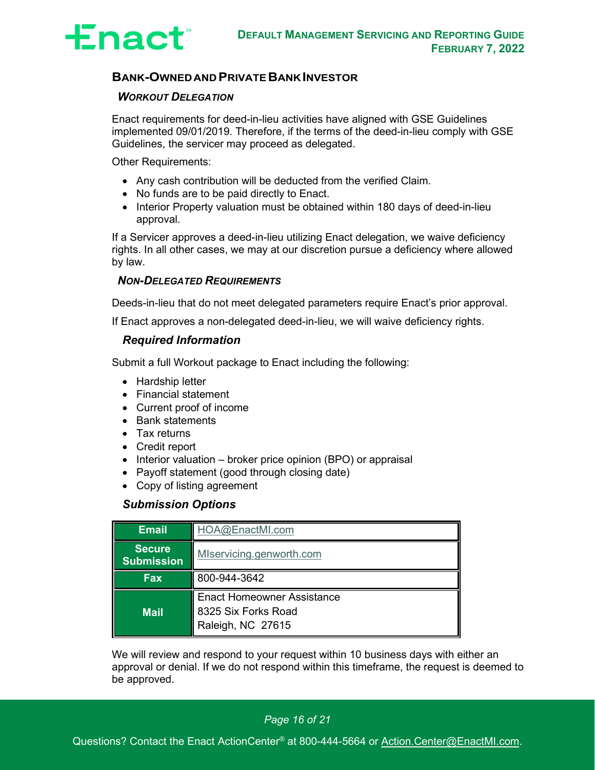

#### **BANK-OWNEDAND PRIVATEBANKINVESTOR**

#### *WORKOUT DELEGATION*

Enact requirements for deed-in-lieu activities have aligned with GSE Guidelines implemented 09/01/2019. Therefore, if the terms of the deed-in-lieu comply with GSE Guidelines, the servicer may proceed as delegated.

Other Requirements:

- Any cash contribution will be deducted from the verified Claim.
- No funds are to be paid directly to Enact.
- Interior Property valuation must be obtained within 180 days of deed-in-lieu approval.

If a Servicer approves a deed-in-lieu utilizing Enact delegation, we waive deficiency rights. In all other cases, we may at our discretion pursue a deficiency where allowed by law.

#### *NON-DELEGATED REQUIREMENTS*

Deeds-in-lieu that do not meet delegated parameters require Enact's prior approval.

If Enact approves a non-delegated deed-in-lieu, we will waive deficiency rights.

#### *Required Information*

Submit a full Workout package to Enact including the following:

- Hardship letter
- Financial statement
- Current proof of income
- Bank statements
- Tax returns
- Credit report
- Interior valuation broker price opinion (BPO) or appraisal
- Payoff statement (good through closing date)
- Copy of listing agreement

#### *Submission Options*

| <b>Email</b>                                                   | HOA@EnactMI.com                                                               |  |
|----------------------------------------------------------------|-------------------------------------------------------------------------------|--|
| <b>Secure</b><br>MIservicing.genworth.com<br><b>Submission</b> |                                                                               |  |
| Fax                                                            | 800-944-3642                                                                  |  |
| <b>Mail</b>                                                    | <b>Enact Homeowner Assistance</b><br>8325 Six Forks Road<br>Raleigh, NC 27615 |  |

We will review and respond to your request within 10 business days with either an approval or denial. If we do not respond within this timeframe, the request is deemed to be approved.

*Page 16 of 21*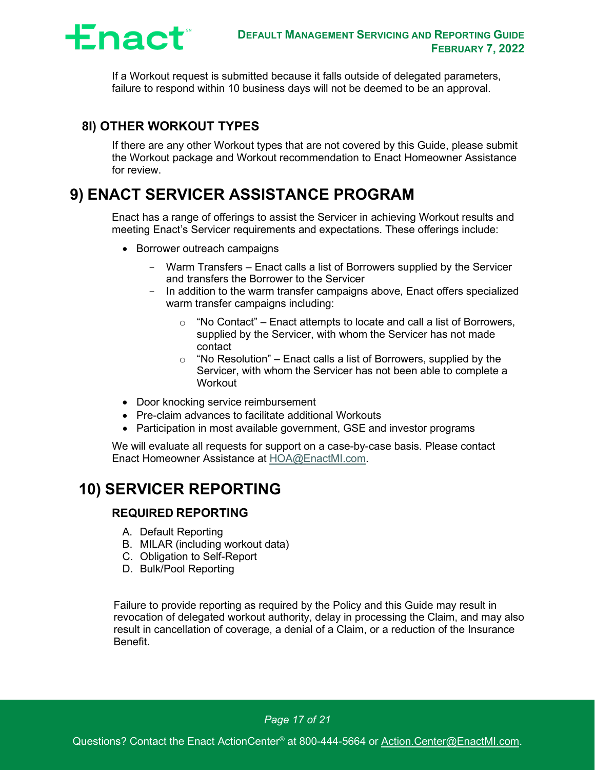

If a Workout request is submitted because it falls outside of delegated parameters, failure to respond within 10 business days will not be deemed to be an approval.

## <span id="page-17-0"></span>**8I) OTHER WORKOUT TYPES**

If there are any other Workout types that are not covered by this Guide, please submit the Workout package and Workout recommendation to Enact Homeowner Assistance for review.

# <span id="page-17-1"></span>**9) ENACT SERVICER ASSISTANCE PROGRAM**

Enact has a range of offerings to assist the Servicer in achieving Workout results and meeting Enact's Servicer requirements and expectations. These offerings include:

- Borrower outreach campaigns
	- Warm Transfers Enact calls a list of Borrowers supplied by the Servicer and transfers the Borrower to the Servicer
	- In addition to the warm transfer campaigns above, Enact offers specialized warm transfer campaigns including:
		- $\circ$  "No Contact" Enact attempts to locate and call a list of Borrowers, supplied by the Servicer, with whom the Servicer has not made contact
		- $\circ$  "No Resolution" Enact calls a list of Borrowers, supplied by the Servicer, with whom the Servicer has not been able to complete a **Workout**
- Door knocking service reimbursement
- Pre-claim advances to facilitate additional Workouts
- Participation in most available government, GSE and investor programs

We will evaluate all requests for support on a case-by-case basis. Please contact Enact Homeowner Assistance at [HOA@EnactMI.com.](mailto:HOA@EnactMI.com)

# <span id="page-17-2"></span>**10) SERVICER REPORTING**

#### **REQUIRED REPORTING**

- A. Default Reporting
- B. MILAR (including workout data)
- C. Obligation to Self-Report
- D. Bulk/Pool Reporting

Failure to provide reporting as required by the Policy and this Guide may result in revocation of delegated workout authority, delay in processing the Claim, and may also result in cancellation of coverage, a denial of a Claim, or a reduction of the Insurance Benefit.

*Page 17 of 21*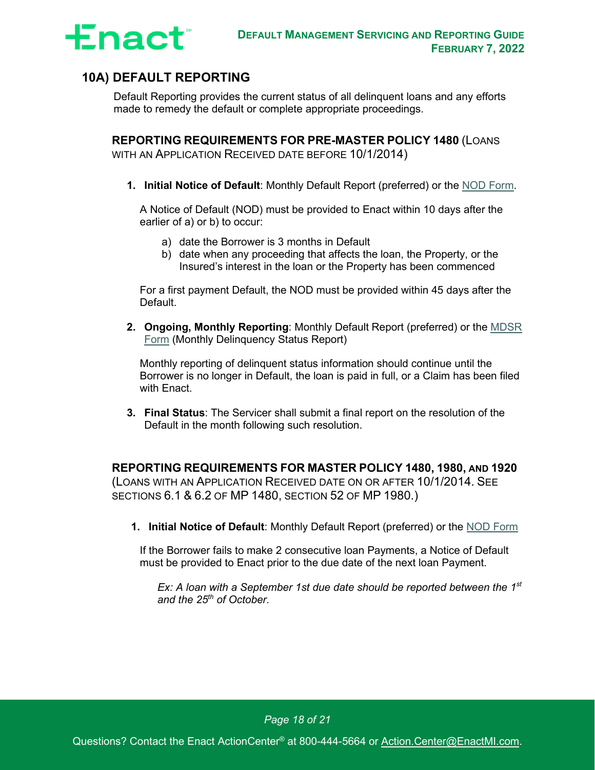

# <span id="page-18-0"></span>**10A) DEFAULT REPORTING**

Default Reporting provides the current status of all delinquent loans and any efforts made to remedy the default or complete appropriate proceedings.

**REPORTING REQUIREMENTS FOR PRE-MASTER POLICY 1480** (LOANS WITH AN APPLICATION RECEIVED DATE BEFORE 10/1/2014)

**1. Initial Notice of Default**: Monthly Default Report (preferred) or the [NOD Form.](https://miservicing.genworth.com/Publications/Default.aspx)

A Notice of Default (NOD) must be provided to Enact within 10 days after the earlier of a) or b) to occur:

- a) date the Borrower is 3 months in Default
- b) date when any proceeding that affects the loan, the Property, or the Insured's interest in the loan or the Property has been commenced

For a first payment Default, the NOD must be provided within 45 days after the Default.

**2. Ongoing, Monthly Reporting**: Monthly Default Report (preferred) or the [MDSR](https://miservicing.genworth.com/Publications/Default.aspx) [Form](https://miservicing.genworth.com/Publications/Default.aspx) (Monthly Delinquency Status Report)

Monthly reporting of delinquent status information should continue until the Borrower is no longer in Default, the loan is paid in full, or a Claim has been filed with Enact.

**3. Final Status**: The Servicer shall submit a final report on the resolution of the Default in the month following such resolution.

**REPORTING REQUIREMENTS FOR MASTER POLICY 1480, 1980, AND 1920** (LOANS WITH AN APPLICATION RECEIVED DATE ON OR AFTER 10/1/2014. SEE SECTIONS 6.1 & 6.2 OF MP 1480, SECTION 52 OF MP 1980.)

**1. Initial Notice of Default**: Monthly Default Report (preferred) or the [NOD Form](https://miservicing.genworth.com/Publications/Default.aspx)

If the Borrower fails to make 2 consecutive loan Payments, a Notice of Default must be provided to Enact prior to the due date of the next loan Payment.

*Ex: A loan with a September 1st due date should be reported between the 1st and the 25th of October.*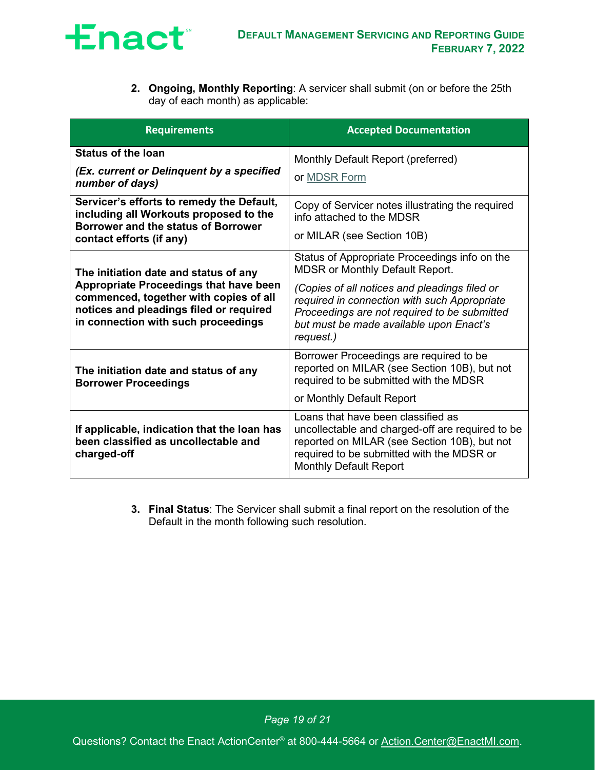

**2. Ongoing, Monthly Reporting**: A servicer shall submit (on or before the 25th day of each month) as applicable:

| <b>Requirements</b>                                                                                                                                                                                                | <b>Accepted Documentation</b>                                                                                                                                                                                                                                                                    |
|--------------------------------------------------------------------------------------------------------------------------------------------------------------------------------------------------------------------|--------------------------------------------------------------------------------------------------------------------------------------------------------------------------------------------------------------------------------------------------------------------------------------------------|
| <b>Status of the loan</b><br>(Ex. current or Delinquent by a specified<br>number of days)                                                                                                                          | Monthly Default Report (preferred)<br>or MDSR Form                                                                                                                                                                                                                                               |
| Servicer's efforts to remedy the Default,<br>including all Workouts proposed to the<br>Borrower and the status of Borrower<br>contact efforts (if any)                                                             | Copy of Servicer notes illustrating the required<br>info attached to the MDSR<br>or MILAR (see Section 10B)                                                                                                                                                                                      |
| The initiation date and status of any<br><b>Appropriate Proceedings that have been</b><br>commenced, together with copies of all<br>notices and pleadings filed or required<br>in connection with such proceedings | Status of Appropriate Proceedings info on the<br><b>MDSR or Monthly Default Report.</b><br>(Copies of all notices and pleadings filed or<br>required in connection with such Appropriate<br>Proceedings are not required to be submitted<br>but must be made available upon Enact's<br>request.) |
| The initiation date and status of any<br><b>Borrower Proceedings</b>                                                                                                                                               | Borrower Proceedings are required to be<br>reported on MILAR (see Section 10B), but not<br>required to be submitted with the MDSR<br>or Monthly Default Report                                                                                                                                   |
| If applicable, indication that the loan has<br>been classified as uncollectable and<br>charged-off                                                                                                                 | Loans that have been classified as<br>uncollectable and charged-off are required to be<br>reported on MILAR (see Section 10B), but not<br>required to be submitted with the MDSR or<br><b>Monthly Default Report</b>                                                                             |

**3. Final Status**: The Servicer shall submit a final report on the resolution of the Default in the month following such resolution.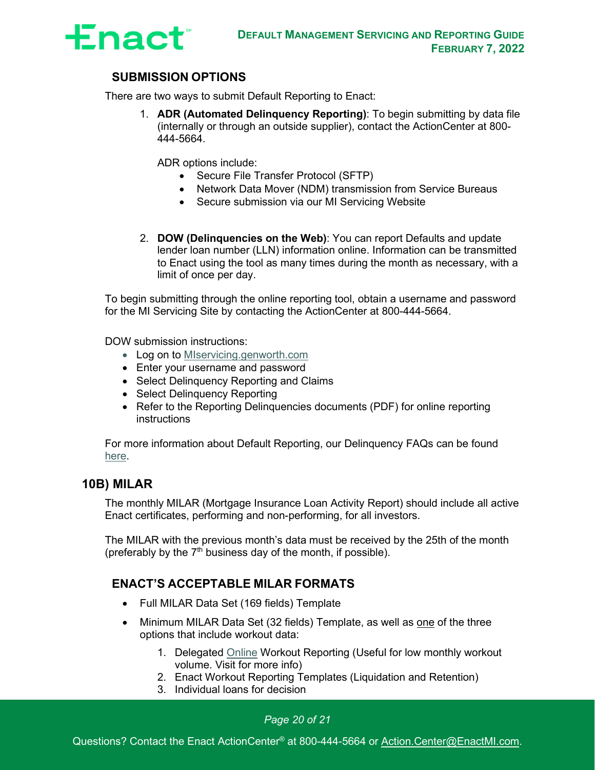

### **SUBMISSION OPTIONS**

There are two ways to submit Default Reporting to Enact:

1. **ADR (Automated Delinquency Reporting)**: To begin submitting by data file (internally or through an outside supplier), contact the ActionCenter at 800- 444-5664.

ADR options include:

- Secure File Transfer Protocol (SFTP)
- Network Data Mover (NDM) transmission from Service Bureaus
- Secure submission via our MI Servicing Website
- 2. **DOW (Delinquencies on the Web)**: You can report Defaults and update lender loan number (LLN) information online. Information can be transmitted to Enact using the tool as many times during the month as necessary, with a limit of once per day.

To begin submitting through the online reporting tool, obtain a username and password for the MI Servicing Site by contacting the ActionCenter at 800-444-5664.

DOW submission instructions:

- Log on to [MIservicing.genworth.com](https://miservicing.genworth.com/)
- Enter your username and password
- Select Delinquency Reporting and Claims
- Select Delinquency Reporting
- Refer to the Reporting Delinguencies documents (PDF) for online reporting instructions

For more information about Default Reporting, our Delinquency FAQs can be found [here.](https://miservicing.genworth.com/Publications/Default.aspx)

#### <span id="page-20-0"></span>**10B) MILAR**

The monthly MILAR (Mortgage Insurance Loan Activity Report) should include all active Enact certificates, performing and non-performing, for all investors.

The MILAR with the previous month's data must be received by the 25th of the month (preferably by the  $7<sup>th</sup>$  business day of the month, if possible).

### **ENACT'S ACCEPTABLE MILAR FORMATS**

- Full MILAR Data Set (169 fields) Template
- Minimum MILAR Data Set (32 fields) Template, as well as one of the three options that include workout data:
	- 1. Delegated [Online](https://delegated-one.miservicing.genworth.com/login) Workout Reporting (Useful for low monthly workout volume. Visit for more info)
	- 2. Enact Workout Reporting Templates (Liquidation and Retention)
	- 3. Individual loans for decision

#### *Page 20 of 21*

Questions? Contact the Enact ActionCenter® at 800-444-5664 or [Action.Center@EnactMI.com.](mailto:Action.Center@EnactMI.com)